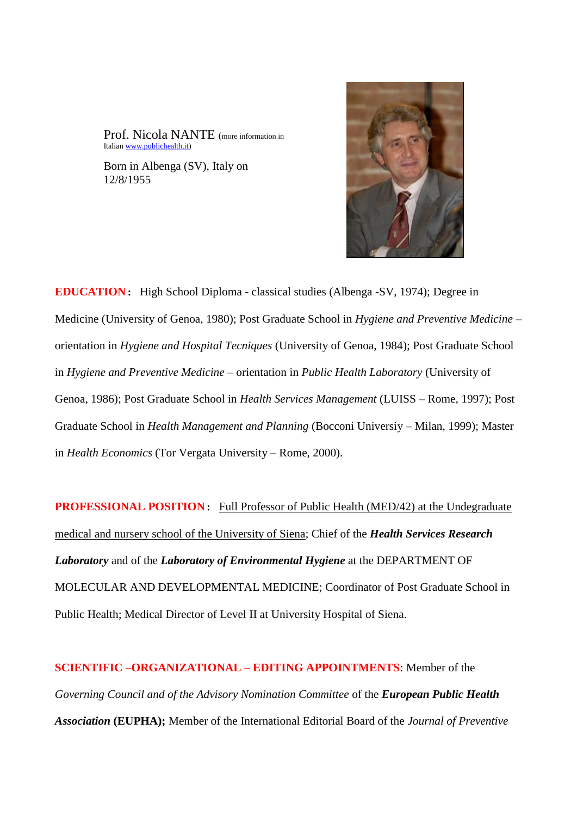Prof. Nicola NANTE (more information in Italia[n www.publichealth.it\)](http://www.publichealth.it/)

Born in Albenga (SV), Italy on 12/8/1955



**EDUCATION**: High School Diploma - classical studies (Albenga -SV, 1974); Degree in Medicine (University of Genoa, 1980); Post Graduate School in *Hygiene and Preventive Medicine* – orientation in *Hygiene and Hospital Tecniques* (University of Genoa, 1984); Post Graduate School in *Hygiene and Preventive Medicine* – orientation in *Public Health Laboratory* (University of Genoa, 1986); Post Graduate School in *Health Services Management* (LUISS – Rome, 1997); Post Graduate School in *Health Management and Planning* (Bocconi Universiy – Milan, 1999); Master in *Health Economics* (Tor Vergata University – Rome, 2000).

**PROFESSIONAL POSITION:** Full Professor of Public Health (MED/42) at the Undegraduate medical and nursery school of the University of Siena; Chief of the *Health Services Research Laboratory* and of the *Laboratory of Environmental Hygiene* at the DEPARTMENT OF MOLECULAR AND DEVELOPMENTAL MEDICINE; Coordinator of Post Graduate School in Public Health; Medical Director of Level II at University Hospital of Siena.

**SCIENTIFIC –ORGANIZATIONAL – EDITING APPOINTMENTS**: Member of the *Governing Council and of the Advisory Nomination Committee* of the *European Public Health Association* **(EUPHA);** Member of the International Editorial Board of the *Journal of Preventive*